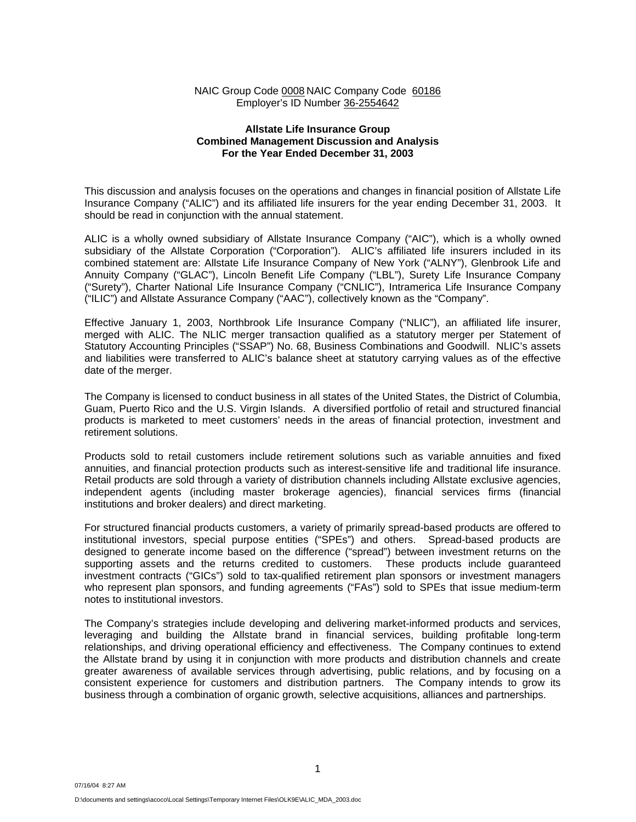## NAIC Group Code 0008 NAIC Company Code 60186 Employer's ID Number 36-2554642

### **Allstate Life Insurance Group Combined Management Discussion and Analysis For the Year Ended December 31, 2003**

This discussion and analysis focuses on the operations and changes in financial position of Allstate Life Insurance Company ("ALIC") and its affiliated life insurers for the year ending December 31, 2003. It should be read in conjunction with the annual statement.

ALIC is a wholly owned subsidiary of Allstate Insurance Company ("AIC"), which is a wholly owned subsidiary of the Allstate Corporation ("Corporation"). ALIC's affiliated life insurers included in its combined statement are: Allstate Life Insurance Company of New York ("ALNY"), Glenbrook Life and Annuity Company ("GLAC"), Lincoln Benefit Life Company ("LBL"), Surety Life Insurance Company ("Surety"), Charter National Life Insurance Company ("CNLIC"), Intramerica Life Insurance Company ("ILIC") and Allstate Assurance Company ("AAC"), collectively known as the "Company".

Effective January 1, 2003, Northbrook Life Insurance Company ("NLIC"), an affiliated life insurer, merged with ALIC. The NLIC merger transaction qualified as a statutory merger per Statement of Statutory Accounting Principles ("SSAP") No. 68, Business Combinations and Goodwill. NLIC's assets and liabilities were transferred to ALIC's balance sheet at statutory carrying values as of the effective date of the merger.

The Company is licensed to conduct business in all states of the United States, the District of Columbia, Guam, Puerto Rico and the U.S. Virgin Islands. A diversified portfolio of retail and structured financial products is marketed to meet customers' needs in the areas of financial protection, investment and retirement solutions.

Products sold to retail customers include retirement solutions such as variable annuities and fixed annuities, and financial protection products such as interest-sensitive life and traditional life insurance. Retail products are sold through a variety of distribution channels including Allstate exclusive agencies, independent agents (including master brokerage agencies), financial services firms (financial institutions and broker dealers) and direct marketing.

For structured financial products customers, a variety of primarily spread-based products are offered to institutional investors, special purpose entities ("SPEs") and others. Spread-based products are designed to generate income based on the difference ("spread") between investment returns on the supporting assets and the returns credited to customers. These products include guaranteed investment contracts ("GICs") sold to tax-qualified retirement plan sponsors or investment managers who represent plan sponsors, and funding agreements ("FAs") sold to SPEs that issue medium-term notes to institutional investors.

The Company's strategies include developing and delivering market-informed products and services, leveraging and building the Allstate brand in financial services, building profitable long-term relationships, and driving operational efficiency and effectiveness. The Company continues to extend the Allstate brand by using it in conjunction with more products and distribution channels and create greater awareness of available services through advertising, public relations, and by focusing on a consistent experience for customers and distribution partners. The Company intends to grow its business through a combination of organic growth, selective acquisitions, alliances and partnerships.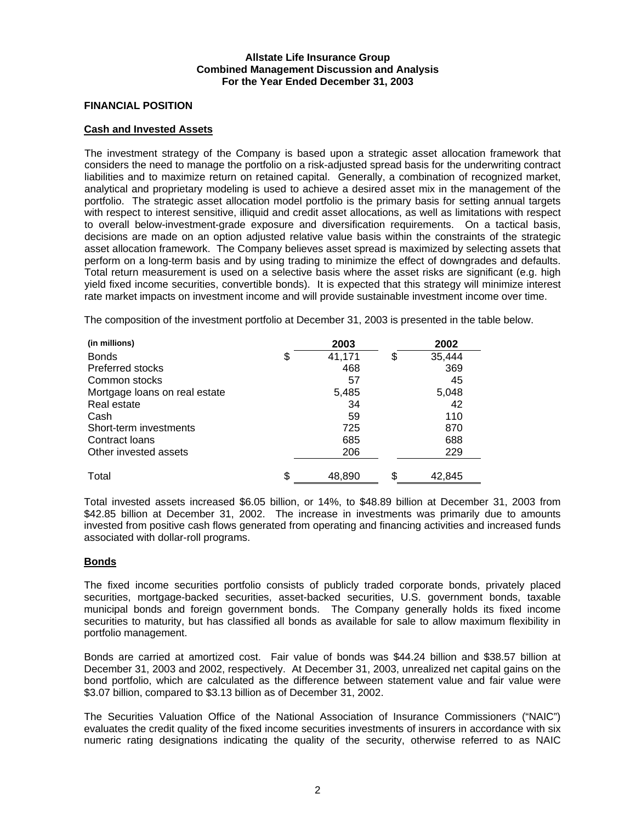## **FINANCIAL POSITION**

### **Cash and Invested Assets**

The investment strategy of the Company is based upon a strategic asset allocation framework that considers the need to manage the portfolio on a risk-adjusted spread basis for the underwriting contract liabilities and to maximize return on retained capital. Generally, a combination of recognized market, analytical and proprietary modeling is used to achieve a desired asset mix in the management of the portfolio. The strategic asset allocation model portfolio is the primary basis for setting annual targets with respect to interest sensitive, illiquid and credit asset allocations, as well as limitations with respect to overall below-investment-grade exposure and diversification requirements. On a tactical basis, decisions are made on an option adjusted relative value basis within the constraints of the strategic asset allocation framework. The Company believes asset spread is maximized by selecting assets that perform on a long-term basis and by using trading to minimize the effect of downgrades and defaults. Total return measurement is used on a selective basis where the asset risks are significant (e.g. high yield fixed income securities, convertible bonds). It is expected that this strategy will minimize interest rate market impacts on investment income and will provide sustainable investment income over time.

The composition of the investment portfolio at December 31, 2003 is presented in the table below.

| (in millions)                 | 2003         |    | 2002   |
|-------------------------------|--------------|----|--------|
| <b>Bonds</b>                  | \$<br>41,171 | \$ | 35,444 |
| Preferred stocks              | 468          |    | 369    |
| Common stocks                 | 57           |    | 45     |
| Mortgage loans on real estate | 5,485        |    | 5,048  |
| Real estate                   | 34           |    | 42     |
| Cash                          | 59           |    | 110    |
| Short-term investments        | 725          |    | 870    |
| Contract Ioans                | 685          |    | 688    |
| Other invested assets         | 206          |    | 229    |
| Total                         | \$<br>48,890 | S  | 42,845 |

Total invested assets increased \$6.05 billion, or 14%, to \$48.89 billion at December 31, 2003 from \$42.85 billion at December 31, 2002. The increase in investments was primarily due to amounts invested from positive cash flows generated from operating and financing activities and increased funds associated with dollar-roll programs.

## **Bonds**

The fixed income securities portfolio consists of publicly traded corporate bonds, privately placed securities, mortgage-backed securities, asset-backed securities, U.S. government bonds, taxable municipal bonds and foreign government bonds. The Company generally holds its fixed income securities to maturity, but has classified all bonds as available for sale to allow maximum flexibility in portfolio management.

Bonds are carried at amortized cost. Fair value of bonds was \$44.24 billion and \$38.57 billion at December 31, 2003 and 2002, respectively. At December 31, 2003, unrealized net capital gains on the bond portfolio, which are calculated as the difference between statement value and fair value were \$3.07 billion, compared to \$3.13 billion as of December 31, 2002.

The Securities Valuation Office of the National Association of Insurance Commissioners ("NAIC") evaluates the credit quality of the fixed income securities investments of insurers in accordance with six numeric rating designations indicating the quality of the security, otherwise referred to as NAIC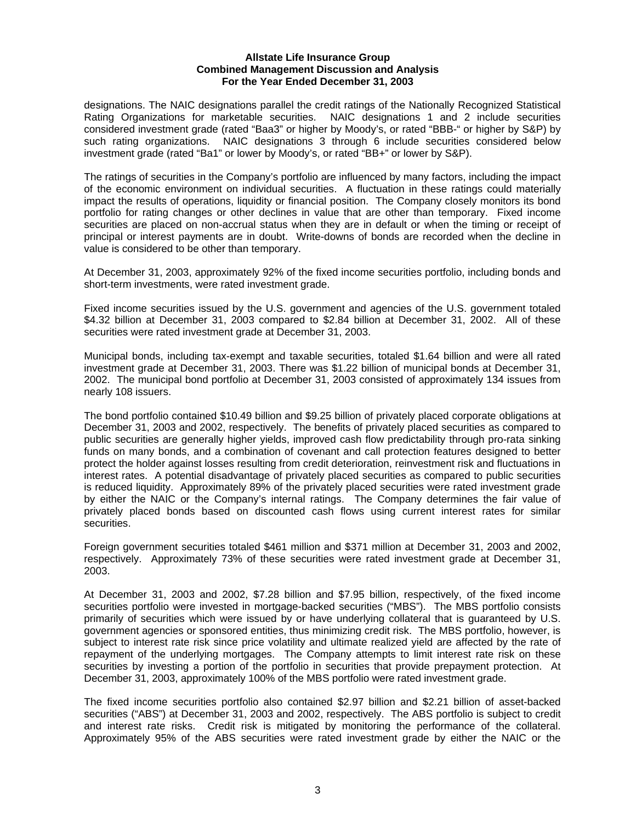designations. The NAIC designations parallel the credit ratings of the Nationally Recognized Statistical Rating Organizations for marketable securities. NAIC designations 1 and 2 include securities considered investment grade (rated "Baa3" or higher by Moody's, or rated "BBB-" or higher by S&P) by such rating organizations. NAIC designations 3 through 6 include securities considered below investment grade (rated "Ba1" or lower by Moody's, or rated "BB+" or lower by S&P).

The ratings of securities in the Company's portfolio are influenced by many factors, including the impact of the economic environment on individual securities. A fluctuation in these ratings could materially impact the results of operations, liquidity or financial position. The Company closely monitors its bond portfolio for rating changes or other declines in value that are other than temporary. Fixed income securities are placed on non-accrual status when they are in default or when the timing or receipt of principal or interest payments are in doubt. Write-downs of bonds are recorded when the decline in value is considered to be other than temporary.

At December 31, 2003, approximately 92% of the fixed income securities portfolio, including bonds and short-term investments, were rated investment grade.

Fixed income securities issued by the U.S. government and agencies of the U.S. government totaled \$4.32 billion at December 31, 2003 compared to \$2.84 billion at December 31, 2002. All of these securities were rated investment grade at December 31, 2003.

Municipal bonds, including tax-exempt and taxable securities, totaled \$1.64 billion and were all rated investment grade at December 31, 2003. There was \$1.22 billion of municipal bonds at December 31, 2002. The municipal bond portfolio at December 31, 2003 consisted of approximately 134 issues from nearly 108 issuers.

The bond portfolio contained \$10.49 billion and \$9.25 billion of privately placed corporate obligations at December 31, 2003 and 2002, respectively. The benefits of privately placed securities as compared to public securities are generally higher yields, improved cash flow predictability through pro-rata sinking funds on many bonds, and a combination of covenant and call protection features designed to better protect the holder against losses resulting from credit deterioration, reinvestment risk and fluctuations in interest rates. A potential disadvantage of privately placed securities as compared to public securities is reduced liquidity. Approximately 89% of the privately placed securities were rated investment grade by either the NAIC or the Company's internal ratings. The Company determines the fair value of privately placed bonds based on discounted cash flows using current interest rates for similar securities.

Foreign government securities totaled \$461 million and \$371 million at December 31, 2003 and 2002, respectively. Approximately 73% of these securities were rated investment grade at December 31, 2003.

At December 31, 2003 and 2002, \$7.28 billion and \$7.95 billion, respectively, of the fixed income securities portfolio were invested in mortgage-backed securities ("MBS"). The MBS portfolio consists primarily of securities which were issued by or have underlying collateral that is guaranteed by U.S. government agencies or sponsored entities, thus minimizing credit risk. The MBS portfolio, however, is subject to interest rate risk since price volatility and ultimate realized yield are affected by the rate of repayment of the underlying mortgages. The Company attempts to limit interest rate risk on these securities by investing a portion of the portfolio in securities that provide prepayment protection. At December 31, 2003, approximately 100% of the MBS portfolio were rated investment grade.

The fixed income securities portfolio also contained \$2.97 billion and \$2.21 billion of asset-backed securities ("ABS") at December 31, 2003 and 2002, respectively. The ABS portfolio is subject to credit and interest rate risks. Credit risk is mitigated by monitoring the performance of the collateral. Approximately 95% of the ABS securities were rated investment grade by either the NAIC or the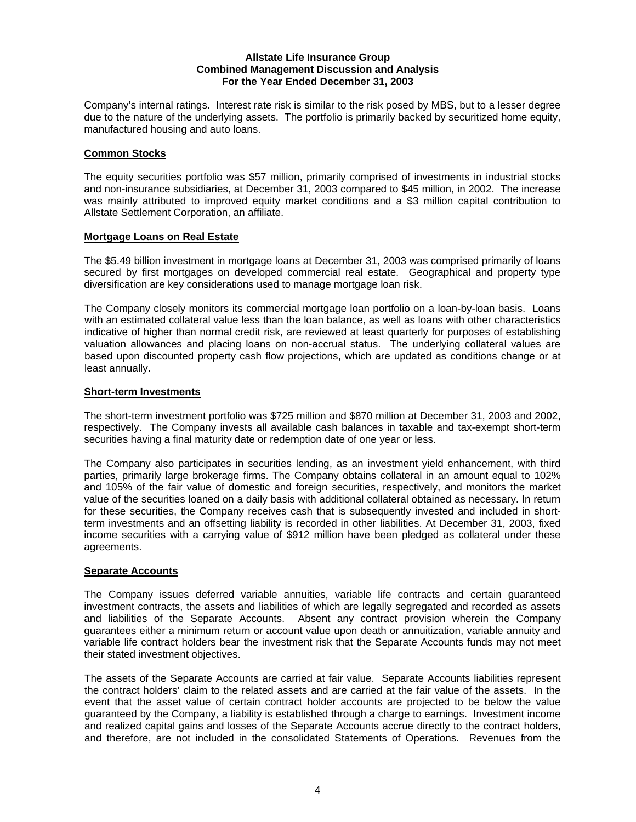Company's internal ratings. Interest rate risk is similar to the risk posed by MBS, but to a lesser degree due to the nature of the underlying assets. The portfolio is primarily backed by securitized home equity, manufactured housing and auto loans.

## **Common Stocks**

The equity securities portfolio was \$57 million, primarily comprised of investments in industrial stocks and non-insurance subsidiaries, at December 31, 2003 compared to \$45 million, in 2002. The increase was mainly attributed to improved equity market conditions and a \$3 million capital contribution to Allstate Settlement Corporation, an affiliate.

# **Mortgage Loans on Real Estate**

The \$5.49 billion investment in mortgage loans at December 31, 2003 was comprised primarily of loans secured by first mortgages on developed commercial real estate. Geographical and property type diversification are key considerations used to manage mortgage loan risk.

The Company closely monitors its commercial mortgage loan portfolio on a loan-by-loan basis. Loans with an estimated collateral value less than the loan balance, as well as loans with other characteristics indicative of higher than normal credit risk, are reviewed at least quarterly for purposes of establishing valuation allowances and placing loans on non-accrual status. The underlying collateral values are based upon discounted property cash flow projections, which are updated as conditions change or at least annually.

# **Short-term Investments**

The short-term investment portfolio was \$725 million and \$870 million at December 31, 2003 and 2002, respectively. The Company invests all available cash balances in taxable and tax-exempt short-term securities having a final maturity date or redemption date of one year or less.

The Company also participates in securities lending, as an investment yield enhancement, with third parties, primarily large brokerage firms. The Company obtains collateral in an amount equal to 102% and 105% of the fair value of domestic and foreign securities, respectively, and monitors the market value of the securities loaned on a daily basis with additional collateral obtained as necessary. In return for these securities, the Company receives cash that is subsequently invested and included in shortterm investments and an offsetting liability is recorded in other liabilities. At December 31, 2003, fixed income securities with a carrying value of \$912 million have been pledged as collateral under these agreements.

## **Separate Accounts**

The Company issues deferred variable annuities, variable life contracts and certain guaranteed investment contracts, the assets and liabilities of which are legally segregated and recorded as assets and liabilities of the Separate Accounts. Absent any contract provision wherein the Company guarantees either a minimum return or account value upon death or annuitization, variable annuity and variable life contract holders bear the investment risk that the Separate Accounts funds may not meet their stated investment objectives.

The assets of the Separate Accounts are carried at fair value. Separate Accounts liabilities represent the contract holders' claim to the related assets and are carried at the fair value of the assets. In the event that the asset value of certain contract holder accounts are projected to be below the value guaranteed by the Company, a liability is established through a charge to earnings. Investment income and realized capital gains and losses of the Separate Accounts accrue directly to the contract holders, and therefore, are not included in the consolidated Statements of Operations. Revenues from the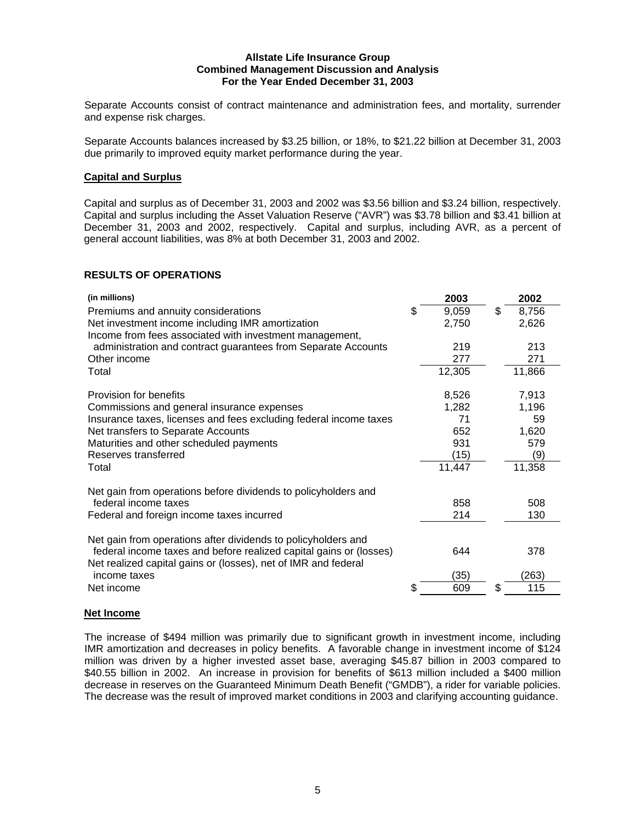Separate Accounts consist of contract maintenance and administration fees, and mortality, surrender and expense risk charges.

Separate Accounts balances increased by \$3.25 billion, or 18%, to \$21.22 billion at December 31, 2003 due primarily to improved equity market performance during the year.

## **Capital and Surplus**

Capital and surplus as of December 31, 2003 and 2002 was \$3.56 billion and \$3.24 billion, respectively. Capital and surplus including the Asset Valuation Reserve ("AVR") was \$3.78 billion and \$3.41 billion at December 31, 2003 and 2002, respectively. Capital and surplus, including AVR, as a percent of general account liabilities, was 8% at both December 31, 2003 and 2002.

# **RESULTS OF OPERATIONS**

| (in millions)<br>Premiums and annuity considerations<br>Net investment income including IMR amortization<br>Income from fees associated with investment management,                                                                                         | \$ | 2003<br>9,059<br>2,750                               | \$ | 2002<br>8,756<br>2,626                                |
|-------------------------------------------------------------------------------------------------------------------------------------------------------------------------------------------------------------------------------------------------------------|----|------------------------------------------------------|----|-------------------------------------------------------|
| administration and contract guarantees from Separate Accounts<br>Other income<br>Total                                                                                                                                                                      |    | 219<br>277<br>12,305                                 |    | 213<br>271<br>11,866                                  |
| Provision for benefits<br>Commissions and general insurance expenses<br>Insurance taxes, licenses and fees excluding federal income taxes<br>Net transfers to Separate Accounts<br>Maturities and other scheduled payments<br>Reserves transferred<br>Total |    | 8,526<br>1,282<br>71<br>652<br>931<br>(15)<br>11,447 |    | 7,913<br>1,196<br>59<br>1,620<br>579<br>(9)<br>11,358 |
| Net gain from operations before dividends to policyholders and<br>federal income taxes<br>Federal and foreign income taxes incurred                                                                                                                         |    | 858<br>214                                           |    | 508<br>130                                            |
| Net gain from operations after dividends to policyholders and<br>federal income taxes and before realized capital gains or (losses)<br>Net realized capital gains or (losses), net of IMR and federal<br>income taxes<br>Net income                         | S  | 644<br>(35)<br>609                                   | S  | 378<br>(263)<br>115                                   |
|                                                                                                                                                                                                                                                             |    |                                                      |    |                                                       |

## **Net Income**

The increase of \$494 million was primarily due to significant growth in investment income, including IMR amortization and decreases in policy benefits. A favorable change in investment income of \$124 million was driven by a higher invested asset base, averaging \$45.87 billion in 2003 compared to \$40.55 billion in 2002. An increase in provision for benefits of \$613 million included a \$400 million decrease in reserves on the Guaranteed Minimum Death Benefit ("GMDB"), a rider for variable policies. The decrease was the result of improved market conditions in 2003 and clarifying accounting guidance.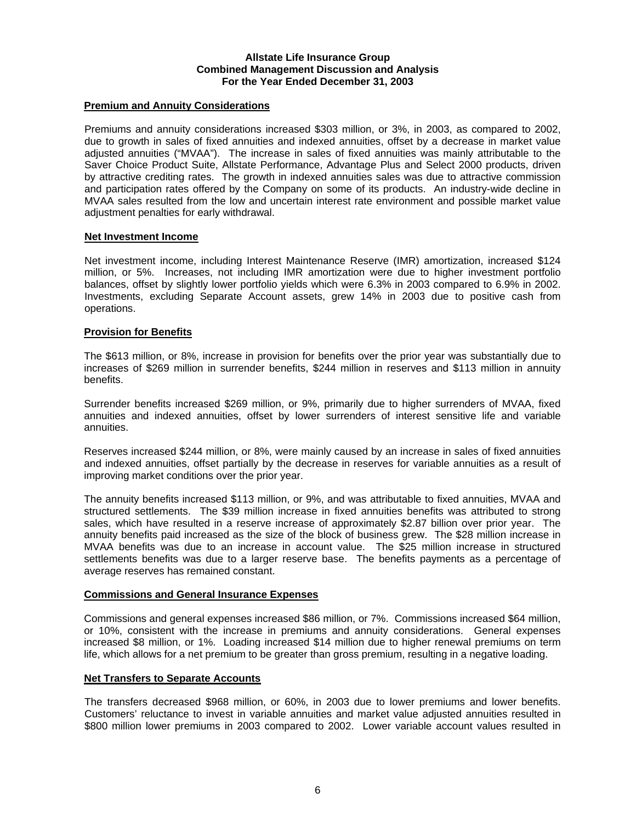## **Premium and Annuity Considerations**

Premiums and annuity considerations increased \$303 million, or 3%, in 2003, as compared to 2002, due to growth in sales of fixed annuities and indexed annuities, offset by a decrease in market value adjusted annuities ("MVAA"). The increase in sales of fixed annuities was mainly attributable to the Saver Choice Product Suite, Allstate Performance, Advantage Plus and Select 2000 products, driven by attractive crediting rates. The growth in indexed annuities sales was due to attractive commission and participation rates offered by the Company on some of its products. An industry-wide decline in MVAA sales resulted from the low and uncertain interest rate environment and possible market value adjustment penalties for early withdrawal.

### **Net Investment Income**

Net investment income, including Interest Maintenance Reserve (IMR) amortization, increased \$124 million, or 5%. Increases, not including IMR amortization were due to higher investment portfolio balances, offset by slightly lower portfolio yields which were 6.3% in 2003 compared to 6.9% in 2002. Investments, excluding Separate Account assets, grew 14% in 2003 due to positive cash from operations.

### **Provision for Benefits**

The \$613 million, or 8%, increase in provision for benefits over the prior year was substantially due to increases of \$269 million in surrender benefits, \$244 million in reserves and \$113 million in annuity benefits.

Surrender benefits increased \$269 million, or 9%, primarily due to higher surrenders of MVAA, fixed annuities and indexed annuities, offset by lower surrenders of interest sensitive life and variable annuities.

Reserves increased \$244 million, or 8%, were mainly caused by an increase in sales of fixed annuities and indexed annuities, offset partially by the decrease in reserves for variable annuities as a result of improving market conditions over the prior year.

The annuity benefits increased \$113 million, or 9%, and was attributable to fixed annuities, MVAA and structured settlements. The \$39 million increase in fixed annuities benefits was attributed to strong sales, which have resulted in a reserve increase of approximately \$2.87 billion over prior year. The annuity benefits paid increased as the size of the block of business grew. The \$28 million increase in MVAA benefits was due to an increase in account value. The \$25 million increase in structured settlements benefits was due to a larger reserve base. The benefits payments as a percentage of average reserves has remained constant.

#### **Commissions and General Insurance Expenses**

Commissions and general expenses increased \$86 million, or 7%. Commissions increased \$64 million, or 10%, consistent with the increase in premiums and annuity considerations. General expenses increased \$8 million, or 1%. Loading increased \$14 million due to higher renewal premiums on term life, which allows for a net premium to be greater than gross premium, resulting in a negative loading.

#### **Net Transfers to Separate Accounts**

The transfers decreased \$968 million, or 60%, in 2003 due to lower premiums and lower benefits. Customers' reluctance to invest in variable annuities and market value adjusted annuities resulted in \$800 million lower premiums in 2003 compared to 2002. Lower variable account values resulted in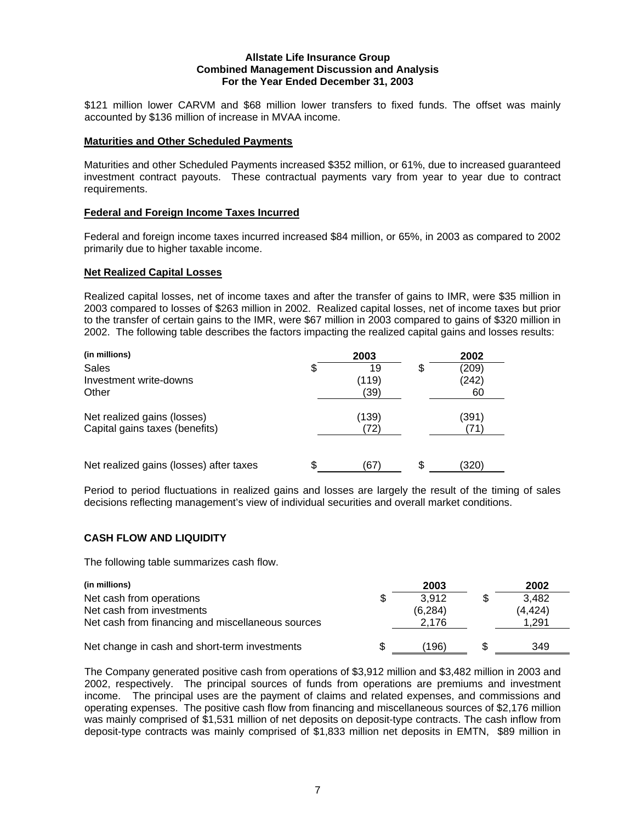\$121 million lower CARVM and \$68 million lower transfers to fixed funds. The offset was mainly accounted by \$136 million of increase in MVAA income.

### **Maturities and Other Scheduled Payments**

Maturities and other Scheduled Payments increased \$352 million, or 61%, due to increased guaranteed investment contract payouts. These contractual payments vary from year to year due to contract requirements.

### **Federal and Foreign Income Taxes Incurred**

Federal and foreign income taxes incurred increased \$84 million, or 65%, in 2003 as compared to 2002 primarily due to higher taxable income.

### **Net Realized Capital Losses**

Realized capital losses, net of income taxes and after the transfer of gains to IMR, were \$35 million in 2003 compared to losses of \$263 million in 2002. Realized capital losses, net of income taxes but prior to the transfer of certain gains to the IMR, were \$67 million in 2003 compared to gains of \$320 million in 2002. The following table describes the factors impacting the realized capital gains and losses results:

| (in millions)                           |    | 2003  |    | 2002  |
|-----------------------------------------|----|-------|----|-------|
| Sales                                   | \$ | 19    | \$ | (209) |
| Investment write-downs                  |    | (119) |    | (242) |
| Other                                   |    | (39)  |    | 60    |
| Net realized gains (losses)             |    | (139) |    | (391) |
| Capital gains taxes (benefits)          |    | 72    |    |       |
|                                         |    |       |    |       |
| Net realized gains (losses) after taxes | S  | 67    | S. | (320) |

Period to period fluctuations in realized gains and losses are largely the result of the timing of sales decisions reflecting management's view of individual securities and overall market conditions.

## **CASH FLOW AND LIQUIDITY**

The following table summarizes cash flow.

| (in millions)                                     |     | 2003    | 2002    |
|---------------------------------------------------|-----|---------|---------|
| Net cash from operations                          | \$. | 3.912   | 3.482   |
| Net cash from investments                         |     | (6.284) | (4.424) |
| Net cash from financing and miscellaneous sources |     | 2.176   | 1.291   |
| Net change in cash and short-term investments     |     | (196    | 349     |

The Company generated positive cash from operations of \$3,912 million and \$3,482 million in 2003 and 2002, respectively. The principal sources of funds from operations are premiums and investment income. The principal uses are the payment of claims and related expenses, and commissions and operating expenses. The positive cash flow from financing and miscellaneous sources of \$2,176 million was mainly comprised of \$1,531 million of net deposits on deposit-type contracts. The cash inflow from deposit-type contracts was mainly comprised of \$1,833 million net deposits in EMTN, \$89 million in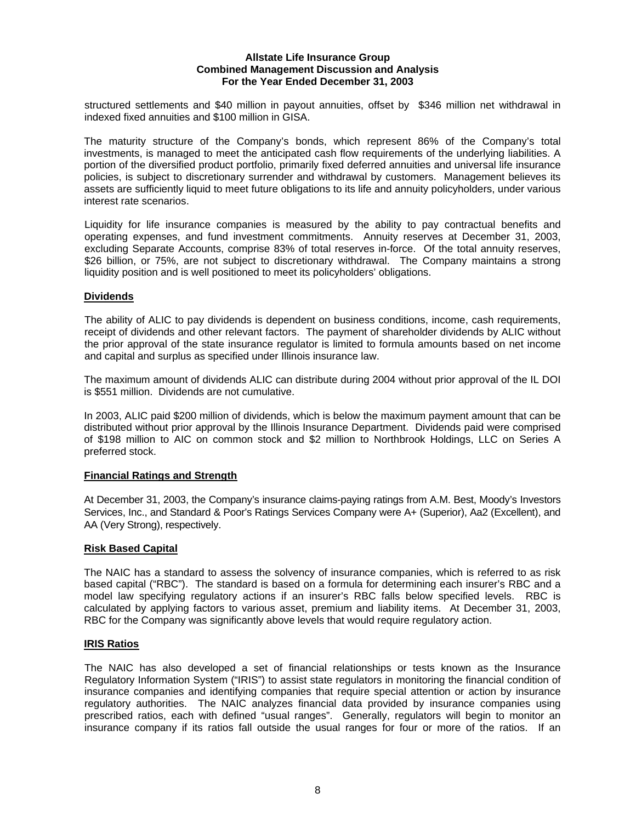structured settlements and \$40 million in payout annuities, offset by \$346 million net withdrawal in indexed fixed annuities and \$100 million in GISA.

The maturity structure of the Company's bonds, which represent 86% of the Company's total investments, is managed to meet the anticipated cash flow requirements of the underlying liabilities. A portion of the diversified product portfolio, primarily fixed deferred annuities and universal life insurance policies, is subject to discretionary surrender and withdrawal by customers. Management believes its assets are sufficiently liquid to meet future obligations to its life and annuity policyholders, under various interest rate scenarios.

Liquidity for life insurance companies is measured by the ability to pay contractual benefits and operating expenses, and fund investment commitments. Annuity reserves at December 31, 2003, excluding Separate Accounts, comprise 83% of total reserves in-force. Of the total annuity reserves, \$26 billion, or 75%, are not subject to discretionary withdrawal. The Company maintains a strong liquidity position and is well positioned to meet its policyholders' obligations.

## **Dividends**

The ability of ALIC to pay dividends is dependent on business conditions, income, cash requirements, receipt of dividends and other relevant factors. The payment of shareholder dividends by ALIC without the prior approval of the state insurance regulator is limited to formula amounts based on net income and capital and surplus as specified under Illinois insurance law.

The maximum amount of dividends ALIC can distribute during 2004 without prior approval of the IL DOI is \$551 million. Dividends are not cumulative.

In 2003, ALIC paid \$200 million of dividends, which is below the maximum payment amount that can be distributed without prior approval by the Illinois Insurance Department. Dividends paid were comprised of \$198 million to AIC on common stock and \$2 million to Northbrook Holdings, LLC on Series A preferred stock.

## **Financial Ratings and Strength**

At December 31, 2003, the Company's insurance claims-paying ratings from A.M. Best, Moody's Investors Services, Inc., and Standard & Poor's Ratings Services Company were A+ (Superior), Aa2 (Excellent), and AA (Very Strong), respectively.

## **Risk Based Capital**

The NAIC has a standard to assess the solvency of insurance companies, which is referred to as risk based capital ("RBC"). The standard is based on a formula for determining each insurer's RBC and a model law specifying regulatory actions if an insurer's RBC falls below specified levels. RBC is calculated by applying factors to various asset, premium and liability items. At December 31, 2003, RBC for the Company was significantly above levels that would require regulatory action.

## **IRIS Ratios**

The NAIC has also developed a set of financial relationships or tests known as the Insurance Regulatory Information System ("IRIS") to assist state regulators in monitoring the financial condition of insurance companies and identifying companies that require special attention or action by insurance regulatory authorities. The NAIC analyzes financial data provided by insurance companies using prescribed ratios, each with defined "usual ranges". Generally, regulators will begin to monitor an insurance company if its ratios fall outside the usual ranges for four or more of the ratios. If an